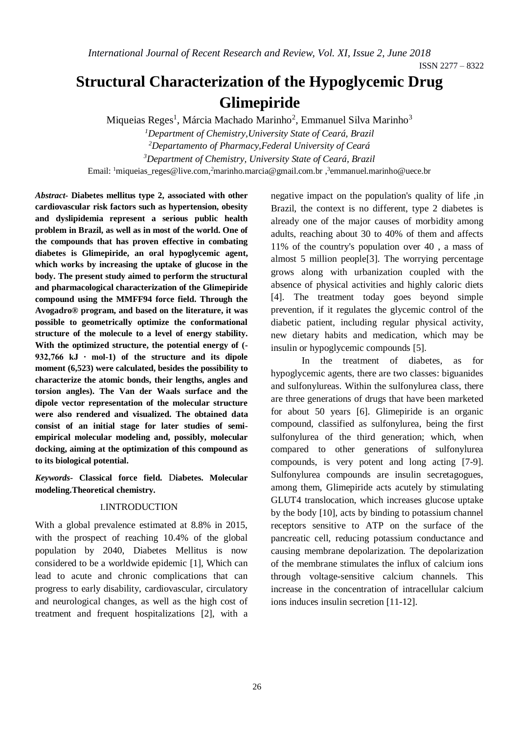# **Structural Characterization of the Hypoglycemic Drug Glimepiride**

Miqueias Reges<sup>1</sup>, Márcia Machado Marinho<sup>2</sup>, Emmanuel Silva Marinho<sup>3</sup> *<sup>1</sup>Department of Chemistry,University State of Ceará, Brazil <sup>2</sup>Departamento of Pharmacy,Federal University of Ceará <sup>3</sup>Department of Chemistry, University State of Ceará, Brazil* Email: <sup>1</sup>miqueias\_reges@live.com,<sup>2</sup>[marinho.marcia@gmail.com.br](mailto:2marinho.marcia@gmail.com.br),<sup>3</sup>emmanuel.marinho@uece.br

*Abstract***- Diabetes mellitus type 2, associated with other cardiovascular risk factors such as hypertension, obesity and dyslipidemia represent a serious public health problem in Brazil, as well as in most of the world. One of the compounds that has proven effective in combating diabetes is Glimepiride, an oral hypoglycemic agent, which works by increasing the uptake of glucose in the body. The present study aimed to perform the structural and pharmacological characterization of the Glimepiride compound using the MMFF94 force field. Through the Avogadro® program, and based on the literature, it was possible to geometrically optimize the conformational structure of the molecule to a level of energy stability. With the optimized structure, the potential energy of (- 932,766 kJ ∙ mol-1) of the structure and its dipole moment (6,523) were calculated, besides the possibility to characterize the atomic bonds, their lengths, angles and torsion angles). The Van der Waals surface and the dipole vector representation of the molecular structure were also rendered and visualized. The obtained data consist of an initial stage for later studies of semiempirical molecular modeling and, possibly, molecular docking, aiming at the optimization of this compound as to its biological potential.**

*Keywords-* **Classical force field.** D**iabetes. Molecular modeling.Theoretical chemistry.**

# I.INTRODUCTION

With a global prevalence estimated at 8.8% in 2015, with the prospect of reaching 10.4% of the global population by 2040, Diabetes Mellitus is now considered to be a worldwide epidemic [1], Which can lead to acute and chronic complications that can progress to early disability, cardiovascular, circulatory and neurological changes, as well as the high cost of treatment and frequent hospitalizations [2], with a

negative impact on the population's quality of life ,in Brazil, the context is no different, type 2 diabetes is already one of the major causes of morbidity among adults, reaching about 30 to 40% of them and affects 11% of the country's population over 40 , a mass of almost 5 million people[3]. The worrying percentage grows along with urbanization coupled with the absence of physical activities and highly caloric diets [4]. The treatment today goes beyond simple prevention, if it regulates the glycemic control of the diabetic patient, including regular physical activity, new dietary habits and medication, which may be insulin or hypoglycemic compounds [5].

In the treatment of diabetes, as for hypoglycemic agents, there are two classes: biguanides and sulfonylureas. Within the sulfonylurea class, there are three generations of drugs that have been marketed for about 50 years [6]. Glimepiride is an organic compound, classified as sulfonylurea, being the first sulfonylurea of the third generation; which, when compared to other generations of sulfonylurea compounds, is very potent and long acting [7-9]. Sulfonylurea compounds are insulin secretagogues, among them, Glimepiride acts acutely by stimulating GLUT4 translocation, which increases glucose uptake by the body [10], acts by binding to potassium channel receptors sensitive to ATP on the surface of the pancreatic cell, reducing potassium conductance and causing membrane depolarization. The depolarization of the membrane stimulates the influx of calcium ions through voltage-sensitive calcium channels. This increase in the concentration of intracellular calcium ions induces insulin secretion [11-12].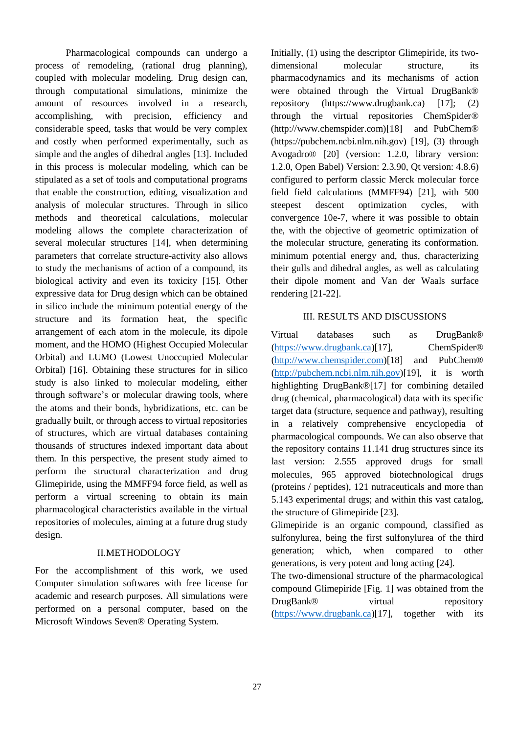Pharmacological compounds can undergo a process of remodeling, (rational drug planning), coupled with molecular modeling. Drug design can, through computational simulations, minimize the amount of resources involved in a research, accomplishing, with precision, efficiency and considerable speed, tasks that would be very complex and costly when performed experimentally, such as simple and the angles of dihedral angles [13]. Included in this process is molecular modeling, which can be stipulated as a set of tools and computational programs that enable the construction, editing, visualization and analysis of molecular structures. Through in silico methods and theoretical calculations, molecular modeling allows the complete characterization of several molecular structures [14], when determining parameters that correlate structure-activity also allows to study the mechanisms of action of a compound, its biological activity and even its toxicity [15]. Other expressive data for Drug design which can be obtained in silico include the minimum potential energy of the structure and its formation heat, the specific arrangement of each atom in the molecule, its dipole moment, and the HOMO (Highest Occupied Molecular Orbital) and LUMO (Lowest Unoccupied Molecular Orbital) [16]. Obtaining these structures for in silico study is also linked to molecular modeling, either through software's or molecular drawing tools, where the atoms and their bonds, hybridizations, etc. can be gradually built, or through access to virtual repositories of structures, which are virtual databases containing thousands of structures indexed important data about them. In this perspective, the present study aimed to perform the structural characterization and drug Glimepiride, using the MMFF94 force field, as well as perform a virtual screening to obtain its main pharmacological characteristics available in the virtual repositories of molecules, aiming at a future drug study design.

## II.METHODOLOGY

For the accomplishment of this work, we used Computer simulation softwares with free license for academic and research purposes. All simulations were performed on a personal computer, based on the Microsoft Windows Seven® Operating System.

Initially, (1) using the descriptor Glimepiride, its twodimensional molecular structure, its pharmacodynamics and its mechanisms of action were obtained through the Virtual DrugBank® repository (https://www.drugbank.ca) [17]; (2) through the virtual repositories ChemSpider® (http://www.chemspider.com)[18] and PubChem® (https://pubchem.ncbi.nlm.nih.gov) [19], (3) through Avogadro® [20] (version: 1.2.0, library version: 1.2.0, Open Babel) Version: 2.3.90, Qt version: 4.8.6) configured to perform classic Merck molecular force field field calculations (MMFF94) [21], with 500 steepest descent optimization cycles, with convergence 10e-7, where it was possible to obtain the, with the objective of geometric optimization of the molecular structure, generating its conformation. minimum potential energy and, thus, characterizing their gulls and dihedral angles, as well as calculating their dipole moment and Van der Waals surface rendering [21-22].

# III. RESULTS AND DISCUSSIONS

Virtual databases such as DrugBank® [\(https://www.drugbank.ca\)](https://www.drugbank.ca/)[17], ChemSpider® [\(http://www.chemspider.com\)](http://www.chemspider.com/)[18] and PubChem® [\(http://pubchem.ncbi.nlm.nih.gov\)](http://pubchem.ncbi.nlm.nih.gov/)[19], it is worth highlighting DrugBank®[17] for combining detailed drug (chemical, pharmacological) data with its specific target data (structure, sequence and pathway), resulting in a relatively comprehensive encyclopedia of pharmacological compounds. We can also observe that the repository contains 11.141 drug structures since its last version: 2.555 approved drugs for small molecules, 965 approved biotechnological drugs (proteins / peptides), 121 nutraceuticals and more than 5.143 experimental drugs; and within this vast catalog, the structure of Glimepiride [23].

Glimepiride is an organic compound, classified as sulfonylurea, being the first sulfonylurea of the third generation; which, when compared to other generations, is very potent and long acting [24].

The two-dimensional structure of the pharmacological compound Glimepiride [Fig. 1] was obtained from the DrugBank<sup>®</sup> virtual repository [\(https://www.drugbank.ca\)](https://www.drugbank.ca/)[17], together with its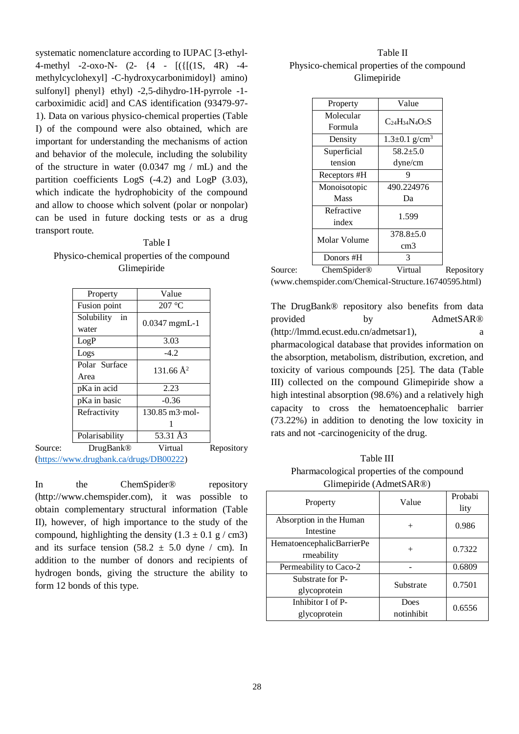systematic nomenclature according to IUPAC [3-ethyl-4-methyl -2-oxo-N- (2- {4 - [({[(1S, 4R) -4 methylcyclohexyl] -C-hydroxycarbonimidoyl} amino) sulfonyl] phenyl} ethyl) -2,5-dihydro-1H-pyrrole -1 carboximidic acid] and CAS identification (93479-97- 1). Data on various physico-chemical properties (Table I) of the compound were also obtained, which are important for understanding the mechanisms of action and behavior of the molecule, including the solubility of the structure in water  $(0.0347 \text{ mg} / \text{mL})$  and the partition coefficients LogS (-4.2) and LogP (3.03), which indicate the hydrophobicity of the compound and allow to choose which solvent (polar or nonpolar) can be used in future docking tests or as a drug transport route.

Table I Physico-chemical properties of the compound Glimepiride

|         | Property         | Value                                |            |
|---------|------------------|--------------------------------------|------------|
|         | Fusion point     | 207 °C                               |            |
|         | Solubility<br>in | $0.0347$ mgmL-1                      |            |
|         | water            |                                      |            |
|         | LogP             | 3.03                                 |            |
|         | Logs             | $-4.2$                               |            |
|         | Polar Surface    | 131.66 $A^2$                         |            |
|         | Area             |                                      |            |
|         | pKa in acid      | 2.23                                 |            |
|         | pKa in basic     | $-0.36$                              |            |
|         | Refractivity     | $130.85 \text{ m}3 \cdot \text{mol}$ |            |
|         |                  |                                      |            |
|         | Polarisability   | 53.31 Å3                             |            |
| Source: | <b>DrugBank®</b> | Virtual                              | Repository |
|         |                  |                                      |            |

[\(https://www.drugbank.ca/drugs/DB00222\)](https://www.drugbank.ca/drugs/DB00222)

In the ChemSpider® repository (http://www.chemspider.com), it was possible to obtain complementary structural information (Table II), however, of high importance to the study of the compound, highlighting the density  $(1.3 \pm 0.1 \text{ g} / \text{cm}^2)$ and its surface tension  $(58.2 \pm 5.0$  dyne / cm). In addition to the number of donors and recipients of hydrogen bonds, giving the structure the ability to form 12 bonds of this type.

| Table II                                    |
|---------------------------------------------|
| Physico-chemical properties of the compound |
| Glimepiride                                 |

| Property     | Value                           |  |  |
|--------------|---------------------------------|--|--|
| Molecular    | $C_{24}H_{34}N_{4}O_{5}S$       |  |  |
| Formula      |                                 |  |  |
| Density      | $1.3 \pm 0.1$ g/cm <sup>3</sup> |  |  |
| Superficial  | $58.2 + 5.0$                    |  |  |
| tension      | dyne/cm                         |  |  |
| Receptors #H | 9                               |  |  |
| Monoisotopic | 490.224976                      |  |  |
| Mass         | Da                              |  |  |
| Refractive   | 1.599                           |  |  |
| index        |                                 |  |  |
|              | $378.8 + 5.0$                   |  |  |
|              | cm3                             |  |  |
| Donors #H    | 3                               |  |  |
| Molar Volume |                                 |  |  |

Source: ChemSpider® Virtual Repository (www.chemspider.com/Chemical-Structure.16740595.html)

The DrugBank® repository also benefits from data provided by AdmetSAR® (http://lmmd.ecust.edu.cn/admetsar1), a pharmacological database that provides information on the absorption, metabolism, distribution, excretion, and toxicity of various compounds [25]. The data (Table III) collected on the compound Glimepiride show a high intestinal absorption (98.6%) and a relatively high capacity to cross the hematoencephalic barrier (73.22%) in addition to denoting the low toxicity in rats and not -carcinogenicity of the drug.

Table III Pharmacological properties of the compound Glimepiride (AdmetSAR®)

| Property                                | Value              | Probabi<br>lity |
|-----------------------------------------|--------------------|-----------------|
| Absorption in the Human<br>Intestine    | $^{+}$             | 0.986           |
| HematoencephalicBarrierPe<br>rmeability | $^{+}$             | 0.7322          |
| Permeability to Caco-2                  |                    | 0.6809          |
| Substrate for P-<br>glycoprotein        | Substrate          | 0.7501          |
| Inhibitor I of P-<br>glycoprotein       | Does<br>notinhibit | 0.6556          |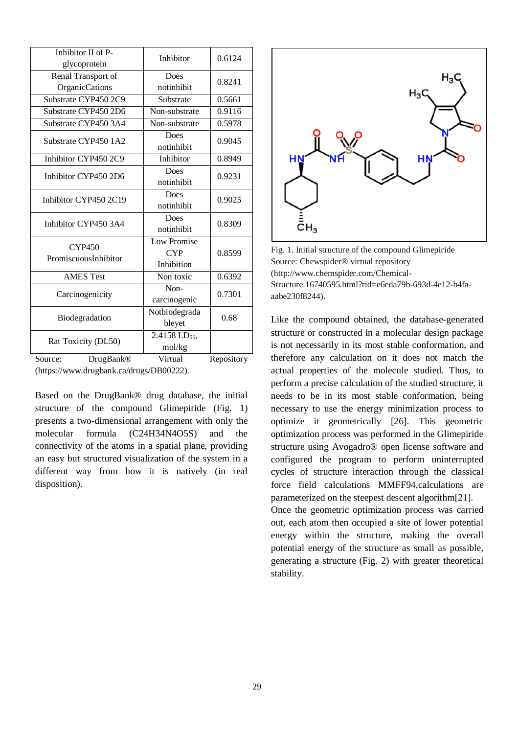|         | Inhibitor II of P-    | Inhibitor                   | 0.6124     |  |
|---------|-----------------------|-----------------------------|------------|--|
|         | glycoprotein          |                             |            |  |
|         | Renal Transport of    | Does                        | 0.8241     |  |
|         | OrganicCations        | notinhibit                  |            |  |
|         | Substrate CYP450 2C9  | Substrate                   | 0.5661     |  |
|         | Substrate CYP450 2D6  | Non-substrate               | 0.9116     |  |
|         | Substrate CYP450 3A4  | Non-substrate               | 0.5978     |  |
|         | Substrate CYP450 1A2  | Does                        | 0.9045     |  |
|         |                       | notinhibit                  |            |  |
|         | Inhibitor CYP450 2C9  | Inhibitor                   | 0.8949     |  |
|         | Inhibitor CYP450 2D6  | Does                        | 0.9231     |  |
|         |                       | notinhibit                  |            |  |
|         | Inhibitor CYP450 2C19 | Does                        |            |  |
|         |                       | notinhibit                  | 0.9025     |  |
|         | Inhibitor CYP4503A4   | Does                        |            |  |
|         |                       | notinhibit                  | 0.8309     |  |
|         | <b>CYP450</b>         | Low Promise                 |            |  |
|         | PromiscuousInhibitor  | <b>CYP</b>                  | 0.8599     |  |
|         |                       | Inhibition                  |            |  |
|         | <b>AMES Test</b>      | Non toxic                   | 0.6392     |  |
|         |                       | Non-                        | 0.7301     |  |
|         | Carcinogenicity       | carcinogenic                |            |  |
|         |                       | Notbiodegrada               | 0.68       |  |
|         | Biodegradation        | bleyet                      |            |  |
|         |                       | $2.4158$ LD <sub>50</sub> , |            |  |
|         | Rat Toxicity (DL50)   | mol/kg                      |            |  |
| Source: | <b>DrugBank®</b>      | Virtual                     | Repository |  |

(https://www.drugbank.ca/drugs/DB00222).

Based on the DrugBank® drug database, the initial structure of the compound Glimepiride (Fig. 1) presents a two-dimensional arrangement with only the molecular formula (C24H34N4O5S) and the connectivity of the atoms in a spatial plane, providing an easy but structured visualization of the system in a different way from how it is natively (in real disposition).



Fig. 1. Initial structure of the compound Glimepiride Source: Chewspider® virtual repository (http://www.chemspider.com/Chemical-Structure.16740595.html?rid=e6eda79b-693d-4e12-b4faaabe230f8244).

Like the compound obtained, the database-generated structure or constructed in a molecular design package is not necessarily in its most stable conformation, and therefore any calculation on it does not match the actual properties of the molecule studied. Thus, to perform a precise calculation of the studied structure, it needs to be in its most stable conformation, being necessary to use the energy minimization process to optimize it geometrically [26]. This geometric optimization process was performed in the Glimepiride structure using Avogadro® open license software and configured the program to perform uninterrupted cycles of structure interaction through the classical force field calculations MMFF94,calculations are parameterized on the steepest descent algorithm[21].

Once the geometric optimization process was carried out, each atom then occupied a site of lower potential energy within the structure, making the overall potential energy of the structure as small as possible, generating a structure (Fig. 2) with greater theoretical stability.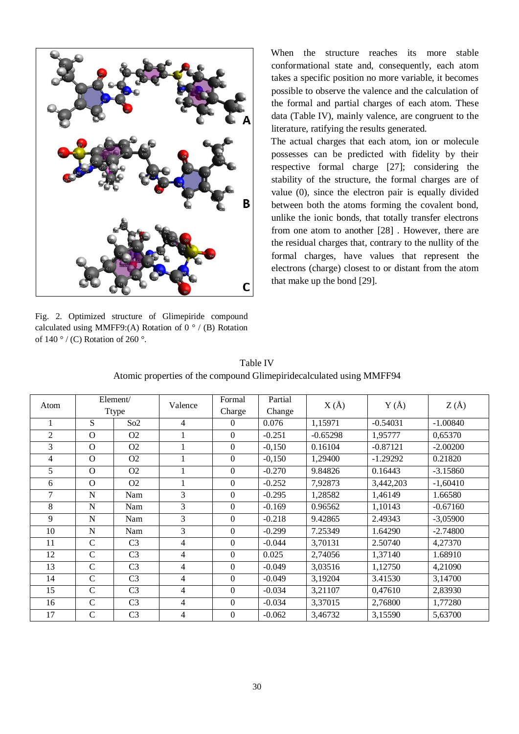

Fig. 2. Optimized structure of Glimepiride compound calculated using MMFF9:(A) Rotation of 0  $\degree$  / (B) Rotation of 140  $\degree$  / (C) Rotation of 260  $\degree$ .

When the structure reaches its more stable conformational state and, consequently, each atom takes a specific position no more variable, it becomes possible to observe the valence and the calculation of the formal and partial charges of each atom. These data (Table IV), mainly valence, are congruent to the literature, ratifying the results generated.

The actual charges that each atom, ion or molecule possesses can be predicted with fidelity by their respective formal charge [27]; considering the stability of the structure, the formal charges are of value (0), since the electron pair is equally divided between both the atoms forming the covalent bond, unlike the ionic bonds, that totally transfer electrons from one atom to another [28] . However, there are the residual charges that, contrary to the nullity of the formal charges, have values that represent the electrons (charge) closest to or distant from the atom that make up the bond [29].

| Atom           |               | Element/<br>Ttype | Valence        | Formal<br>Charge | Partial<br>Change | $X(\AA)$   | Y(A)       | $Z(\AA)$   |
|----------------|---------------|-------------------|----------------|------------------|-------------------|------------|------------|------------|
| -1             | S             | So2               | $\overline{4}$ | $\Omega$         | 0.076             | 1,15971    | $-0.54031$ | $-1.00840$ |
| $\mathfrak{D}$ | $\mathbf{O}$  | O <sub>2</sub>    |                | $\Omega$         | $-0.251$          | $-0.65298$ | 1,95777    | 0,65370    |
| 3              | $\Omega$      | O <sub>2</sub>    |                | $\Omega$         | $-0,150$          | 0.16104    | $-0.87121$ | $-2.00200$ |
| 4              | $\Omega$      | O <sub>2</sub>    |                | $\Omega$         | $-0,150$          | 1,29400    | $-1.29292$ | 0.21820    |
| 5              | $\Omega$      | O <sub>2</sub>    |                | $\Omega$         | $-0.270$          | 9.84826    | 0.16443    | $-3.15860$ |
| 6              | $\mathbf{O}$  | O <sub>2</sub>    |                | $\Omega$         | $-0.252$          | 7,92873    | 3,442,203  | $-1,60410$ |
| 7              | $\mathbf N$   | Nam               | 3              | $\mathbf{0}$     | $-0.295$          | 1,28582    | 1,46149    | 1.66580    |
| 8              | $\mathbf N$   | Nam               | 3              | $\Omega$         | $-0.169$          | 0.96562    | 1,10143    | $-0.67160$ |
| 9              | $\mathbf N$   | Nam               | 3              | $\Omega$         | $-0.218$          | 9.42865    | 2.49343    | $-3,05900$ |
| 10             | $\mathbf N$   | Nam               | 3              | $\Omega$         | $-0.299$          | 7.25349    | 1.64290    | $-2.74800$ |
| 11             | $\mathsf{C}$  | C <sub>3</sub>    | $\overline{4}$ | $\overline{0}$   | $-0.044$          | 3,70131    | 2.50740    | 4,27370    |
| 12             | $\mathbf C$   | C <sub>3</sub>    | 4              | $\Omega$         | 0.025             | 2,74056    | 1,37140    | 1.68910    |
| 13             | $\mathsf{C}$  | C <sub>3</sub>    | 4              | $\Omega$         | $-0.049$          | 3,03516    | 1,12750    | 4,21090    |
| 14             | $\mathsf{C}$  | C <sub>3</sub>    | 4              | $\Omega$         | $-0.049$          | 3,19204    | 3.41530    | 3,14700    |
| 15             | $\mathsf{C}$  | C <sub>3</sub>    | $\overline{4}$ | $\Omega$         | $-0.034$          | 3,21107    | 0,47610    | 2,83930    |
| 16             | $\mathbf C$   | C <sub>3</sub>    | $\overline{4}$ | $\Omega$         | $-0.034$          | 3,37015    | 2,76800    | 1,77280    |
| 17             | $\mathcal{C}$ | C <sub>3</sub>    | 4              | $\theta$         | $-0.062$          | 3,46732    | 3,15590    | 5,63700    |

Table IV Atomic properties of the compound Glimepiridecalculated using MMFF94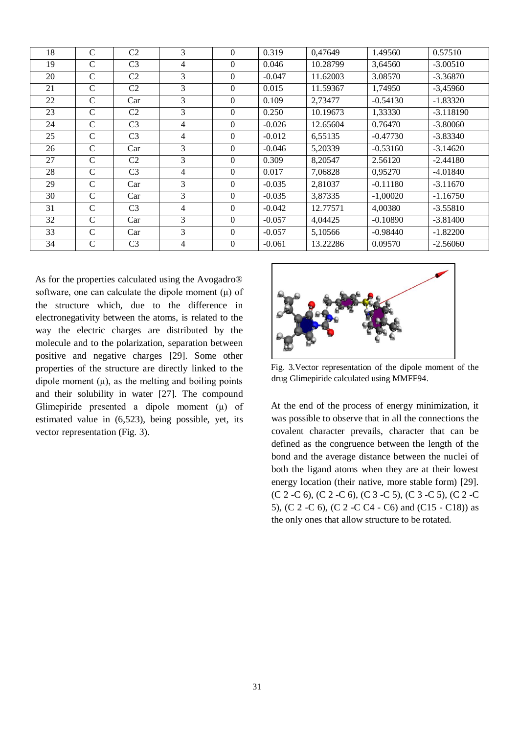| 18 | $\mathcal{C}$ | C <sub>2</sub> | 3 | $\theta$       | 0.319    | 0,47649  | 1.49560    | 0.57510     |
|----|---------------|----------------|---|----------------|----------|----------|------------|-------------|
| 19 | $\mathsf{C}$  | C <sub>3</sub> | 4 | $\theta$       | 0.046    | 10.28799 | 3,64560    | $-3.00510$  |
| 20 | $\mathcal{C}$ | C <sub>2</sub> | 3 | $\theta$       | $-0.047$ | 11.62003 | 3.08570    | $-3.36870$  |
| 21 | $\mathsf{C}$  | C <sub>2</sub> | 3 | $\Omega$       | 0.015    | 11.59367 | 1,74950    | $-3,45960$  |
| 22 | $\mathsf{C}$  | Car            | 3 | $\overline{0}$ | 0.109    | 2,73477  | $-0.54130$ | $-1.83320$  |
| 23 | $\mathcal{C}$ | C <sub>2</sub> | 3 | $\theta$       | 0.250    | 10.19673 | 1,33330    | $-3.118190$ |
| 24 | $\mathsf{C}$  | C <sub>3</sub> | 4 | $\theta$       | $-0.026$ | 12.65604 | 0.76470    | $-3.80060$  |
| 25 | $\mathsf{C}$  | C <sub>3</sub> | 4 | $\theta$       | $-0.012$ | 6,55135  | $-0.47730$ | $-3.83340$  |
| 26 | $\mathsf{C}$  | Car            | 3 | $\theta$       | $-0.046$ | 5,20339  | $-0.53160$ | $-3.14620$  |
| 27 | $\mathsf{C}$  | C <sub>2</sub> | 3 | $\overline{0}$ | 0.309    | 8,20547  | 2.56120    | $-2.44180$  |
| 28 | $\mathsf{C}$  | C <sub>3</sub> | 4 | $\theta$       | 0.017    | 7,06828  | 0,95270    | $-4.01840$  |
| 29 | $\mathcal{C}$ | Car            | 3 | $\theta$       | $-0.035$ | 2,81037  | $-0.11180$ | $-3.11670$  |
| 30 | $\mathsf{C}$  | Car            | 3 | $\theta$       | $-0.035$ | 3,87335  | $-1,00020$ | $-1.16750$  |
| 31 | $\mathcal{C}$ | C <sub>3</sub> | 4 | $\theta$       | $-0.042$ | 12.77571 | 4,00380    | $-3.55810$  |
| 32 | $\mathsf{C}$  | Car            | 3 | $\overline{0}$ | $-0.057$ | 4,04425  | $-0.10890$ | $-3.81400$  |
| 33 | $\mathsf{C}$  | Car            | 3 | $\theta$       | $-0.057$ | 5,10566  | $-0.98440$ | $-1.82200$  |
| 34 | $\mathcal{C}$ | C <sub>3</sub> | 4 | $\theta$       | $-0.061$ | 13.22286 | 0.09570    | $-2.56060$  |

As for the properties calculated using the Avogadro® software, one can calculate the dipole moment  $(\mu)$  of the structure which, due to the difference in electronegativity between the atoms, is related to the way the electric charges are distributed by the molecule and to the polarization, separation between positive and negative charges [29]. Some other properties of the structure are directly linked to the dipole moment  $(\mu)$ , as the melting and boiling points and their solubility in water [27]. The compound Glimepiride presented a dipole moment (μ) of estimated value in (6,523), being possible, yet, its vector representation (Fig. 3).



Fig. 3.Vector representation of the dipole moment of the drug Glimepiride calculated using MMFF94.

At the end of the process of energy minimization, it was possible to observe that in all the connections the covalent character prevails, character that can be defined as the congruence between the length of the bond and the average distance between the nuclei of both the ligand atoms when they are at their lowest energy location (their native, more stable form) [29]. (C 2 -C 6), (C 2 -C 6), (C 3 -C 5), (C 3 -C 5), (C 2 -C 5), (C 2 -C 6), (C 2 -C C4 - C6) and (C15 - C18)) as the only ones that allow structure to be rotated.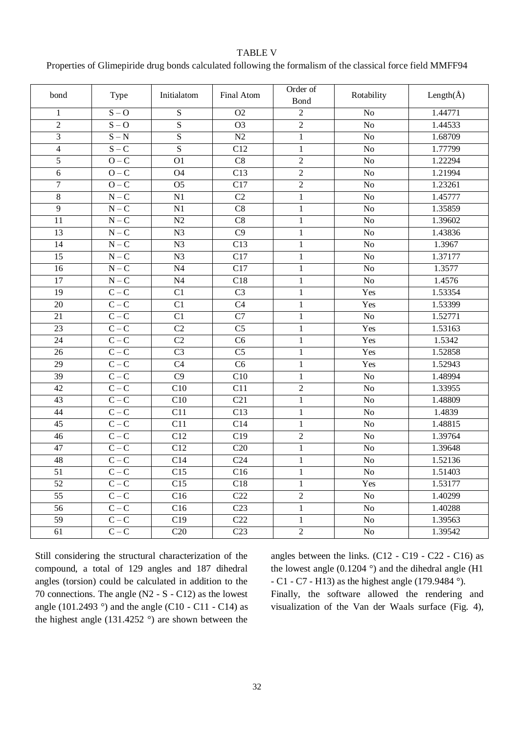## TABLE V

#### Properties of Glimepiride drug bonds calculated following the formalism of the classical force field MMFF94

| bond             | Type                    | Initialatom      | Final Atom       | Order of<br>Bond | Rotability      | Length( $\AA$ ) |
|------------------|-------------------------|------------------|------------------|------------------|-----------------|-----------------|
| 1                | $S - O$                 | ${\bf S}$        | O2               | $\overline{2}$   | No              | 1.44771         |
| $\overline{2}$   | $S - O$                 | $\overline{S}$   | O <sub>3</sub>   | $\overline{2}$   | $\overline{No}$ | 1.44533         |
| $\overline{3}$   | $\mathbf{S}-\mathbf{N}$ | $\overline{S}$   | $\rm N2$         | $\mathbf{1}$     | $\rm No$        | 1.68709         |
| $\overline{4}$   | $S - C$                 | $\overline{S}$   | C12              | $\mathbf{1}$     | No              | 1.77799         |
| 5                | $O - C$                 | O <sub>1</sub>   | C8               | $\overline{2}$   | No              | 1.22294         |
| $\sqrt{6}$       | $0-C$                   | <b>O4</b>        | C13              | $\overline{2}$   | $\rm No$        | 1.21994         |
| $\boldsymbol{7}$ | $O - \overline{C}$      | O <sub>5</sub>   | C17              | $\overline{2}$   | $\rm No$        | 1.23261         |
| $8\,$            | $N - C$                 | N1               | $\overline{C2}$  | $\mathbf 1$      | No              | 1.45777         |
| $\overline{9}$   | $N - C$                 | N1               | $\overline{C8}$  | $\mathbf{1}$     | N <sub>o</sub>  | 1.35859         |
| 11               | $N-C$                   | N2               | $\mathbf{C}8$    | $\,1$            | $\rm No$        | 1.39602         |
| 13               | $N - C$                 | N <sub>3</sub>   | C9               | $\mathbf{1}$     | No              | 1.43836         |
| 14               | $N - C$                 | $\overline{N3}$  | $\overline{C13}$ | $\mathbf{1}$     | No              | 1.3967          |
| 15               | $N - C$                 | N <sub>3</sub>   | C17              | $\,1\,$          | $\rm No$        | 1.37177         |
| 16               | $\mathbf{N}-\mathbf{C}$ | N <sub>4</sub>   | C17              | $\,1$            | $\rm No$        | 1.3577          |
| 17               | $N - C$                 | N <sub>4</sub>   | C18              | $\,1$            | No              | 1.4576          |
| $\overline{19}$  | $C-C$                   | $\overline{C1}$  | C <sub>3</sub>   | $\mathbf{1}$     | Yes             | 1.53354         |
| $20\,$           | $C - C$                 | C1               | C <sub>4</sub>   | $\,1$            | Yes             | 1.53399         |
| 21               | $C - C$                 | C1               | C7               | $\mathbf{1}$     | No              | 1.52771         |
| 23               | $C - C$                 | C <sub>2</sub>   | $\overline{C5}$  | $\mathbf{1}$     | Yes             | 1.53163         |
| 24               | $C - C$                 | C2               | C6               | $\,1$            | Yes             | 1.5342          |
| 26               | $C - C$                 | C <sub>3</sub>   | C <sub>5</sub>   | $\,1$            | Yes             | 1.52858         |
| 29               | $C - C$                 | C <sub>4</sub>   | C6               | $\mathbf{1}$     | Yes             | 1.52943         |
| $\overline{39}$  | $C-C$                   | $\overline{C9}$  | $\overline{C10}$ | $\mathbf{1}$     | $\rm No$        | 1.48994         |
| 42               | $C - \overline{C}$      | C10              | C11              | $\overline{c}$   | No              | 1.33955         |
| 43               | $C - C$                 | C10              | C21              | $\mathbf{1}$     | No              | 1.48809         |
| 44               | $C - C$                 | $\overline{C11}$ | $\overline{C13}$ | $\mathbf{1}$     | No              | 1.4839          |
| $\overline{45}$  | $C-C$                   | C11              | C14              | $\mathbf{1}$     | $\rm No$        | 1.48815         |
| 46               | $C - C$                 | C12              | C19              | $\overline{c}$   | $\rm No$        | 1.39764         |
| 47               | $C - C$                 | $\overline{C12}$ | C20              | $\mathbf{1}$     | No              | 1.39648         |
| 48               | $C - C$                 | C14              | C <sub>24</sub>  | $\mathbf 1$      | $\rm No$        | 1.52136         |
| $\overline{51}$  | $\mathbf{C}-\mathbf{C}$ | $\overline{C15}$ | C16              | $\mathbf{1}$     | No              | 1.51403         |
| 52               | $C - C$                 | C15              | C18              | $\mathbf{1}$     | Yes             | 1.53177         |
| 55               | $C - C$                 | C16              | C22              | $\overline{2}$   | $\rm No$        | 1.40299         |
| 56               | $C - C$                 | C16              | C <sub>23</sub>  | $\,1$            | No              | 1.40288         |
| 59               | $C - C$                 | C19              | C22              | $\mathbf{1}$     | No              | 1.39563         |
| 61               | $C - C$                 | C20              | C <sub>23</sub>  | $\overline{2}$   | No              | 1.39542         |

Still considering the structural characterization of the compound, a total of 129 angles and 187 dihedral angles (torsion) could be calculated in addition to the 70 connections. The angle (N2 - S - C12) as the lowest angle (101.2493 °) and the angle (C10 - C11 - C14) as the highest angle (131.4252 °) are shown between the

angles between the links. (C12 - C19 - C22 - C16) as the lowest angle  $(0.1204)$  °) and the dihedral angle (H1 - C1 - C7 - H13) as the highest angle (179.9484 °). Finally, the software allowed the rendering and visualization of the Van der Waals surface (Fig. 4),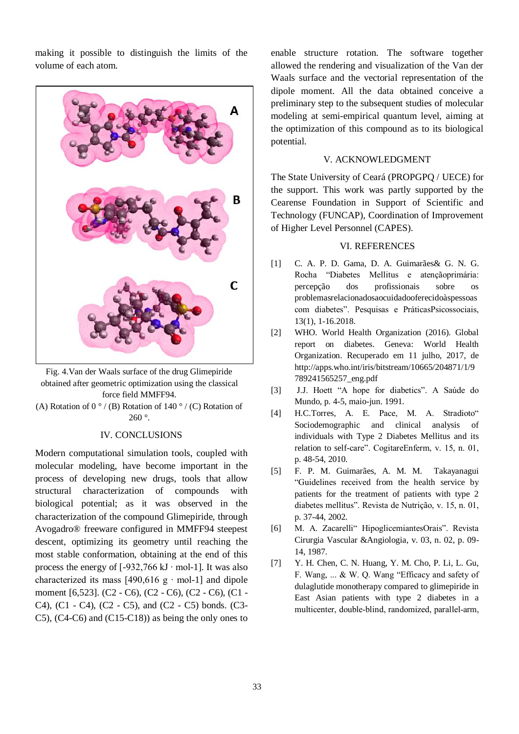making it possible to distinguish the limits of the volume of each atom.



Fig. 4.Van der Waals surface of the drug Glimepiride obtained after geometric optimization using the classical force field MMFF94.

(A) Rotation of  $0^{\circ}$  / (B) Rotation of 140 ° / (C) Rotation of  $260^\circ$ .

#### IV. CONCLUSIONS

Modern computational simulation tools, coupled with molecular modeling, have become important in the process of developing new drugs, tools that allow structural characterization of compounds with biological potential; as it was observed in the characterization of the compound Glimepiride, through Avogadro® freeware configured in MMFF94 steepest descent, optimizing its geometry until reaching the most stable conformation, obtaining at the end of this process the energy of  $[-932,766 \text{ kJ} \cdot \text{mol-1}]$ . It was also characterized its mass  $[490,616 \text{ g} \cdot \text{mol-1}]$  and dipole moment [6,523]. (C2 - C6), (C2 - C6), (C2 - C6), (C1 - C4), (C1 - C4), (C2 - C5), and (C2 - C5) bonds. (C3- C5), (C4-C6) and (C15-C18)) as being the only ones to

enable structure rotation. The software together allowed the rendering and visualization of the Van der Waals surface and the vectorial representation of the dipole moment. All the data obtained conceive a preliminary step to the subsequent studies of molecular modeling at semi-empirical quantum level, aiming at the optimization of this compound as to its biological potential.

## V. ACKNOWLEDGMENT

The State University of Ceará (PROPGPQ / UECE) for the support. This work was partly supported by the Cearense Foundation in Support of Scientific and Technology (FUNCAP), Coordination of Improvement of Higher Level Personnel (CAPES).

#### VI. REFERENCES

- [1] C. A. P. D. Gama, D. A. Guimarães& G. N. G. Rocha "Diabetes Mellitus e atençãoprimária: percepção dos profissionais sobre os problemasrelacionadosaocuidadooferecidoàspessoas com diabetes". Pesquisas e PráticasPsicossociais, 13(1), 1-16.2018.
- [2] WHO. World Health Organization (2016). Global report on diabetes. Geneva: World Health Organization. Recuperado em 11 julho, 2017, de http://apps.who.int/iris/bitstream/10665/204871/1/9 789241565257\_eng.pdf
- [3] J.J. Hoett "A hope for diabetics". A Saúde do Mundo, p. 4-5, maio-jun. 1991.
- [4] H.C.Torres, A. E. Pace, M. A. Stradioto" Sociodemographic and clinical analysis of individuals with Type 2 Diabetes Mellitus and its relation to self-care". CogitareEnferm, v. 15, n. 01, p. 48-54, 2010.
- [5] F. P. M. Guimarães, A. M. M. Takayanagui "Guidelines received from the health service by patients for the treatment of patients with type 2 diabetes mellitus". Revista de Nutrição, v. 15, n. 01, p. 37-44, 2002.
- [6] M. A. Zacarelli" HipoglicemiantesOrais". Revista Cirurgia Vascular &Angiologia, v. 03, n. 02, p. 09- 14, 1987.
- [7] Y. H. Chen, C. N. Huang, Y. M. Cho, P. Li, L. Gu, F. Wang, ... & W. Q. Wang "Efficacy and safety of dulaglutide monotherapy compared to glimepiride in East Asian patients with type 2 diabetes in a multicenter, double‐blind, randomized, parallel‐arm,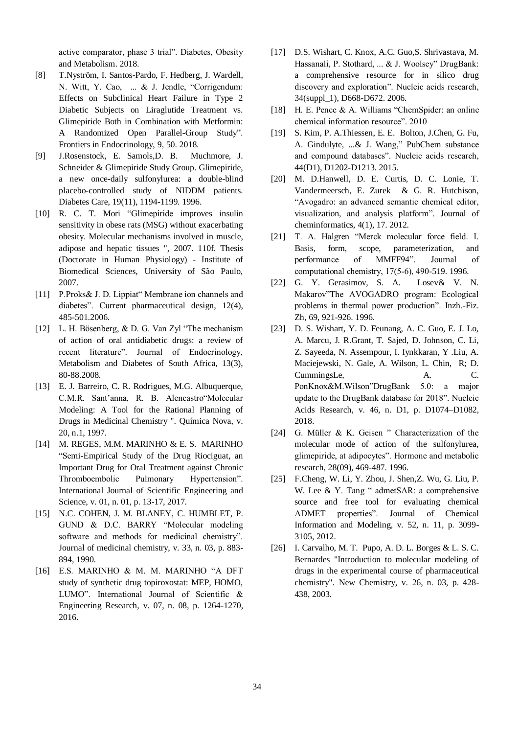active comparator, phase 3 trial". Diabetes, Obesity and Metabolism. 2018.

- [8] T.Nyström, I. Santos-Pardo, F. Hedberg, J. Wardell, N. Witt, Y. Cao, ... & J. Jendle, "Corrigendum: Effects on Subclinical Heart Failure in Type 2 Diabetic Subjects on Liraglutide Treatment vs. Glimepiride Both in Combination with Metformin: A Randomized Open Parallel-Group Study". Frontiers in Endocrinology, 9, 50. 2018.
- [9] J.Rosenstock, E. Samols,D. B. Muchmore, J. Schneider & Glimepiride Study Group. Glimepiride, a new once-daily sulfonylurea: a double-blind placebo-controlled study of NIDDM patients. Diabetes Care, 19(11), 1194-1199. 1996.
- [10] R. C. T. Mori "Glimepiride improves insulin sensitivity in obese rats (MSG) without exacerbating obesity. Molecular mechanisms involved in muscle, adipose and hepatic tissues ", 2007. 110f. Thesis (Doctorate in Human Physiology) - Institute of Biomedical Sciences, University of São Paulo, 2007.
- [11] P.Proks& J. D. Lippiat" Membrane ion channels and diabetes". Current pharmaceutical design, 12(4), 485-501.2006.
- [12] L. H. Bösenberg, & D. G. Van Zyl "The mechanism of action of oral antidiabetic drugs: a review of recent literature". Journal of Endocrinology, Metabolism and Diabetes of South Africa, 13(3), 80-88.2008.
- [13] E. J. Barreiro, C. R. Rodrigues, M.G. Albuquerque, C.M.R. Sant'anna, R. B. Alencastro"Molecular Modeling: A Tool for the Rational Planning of Drugs in Medicinal Chemistry ". Química Nova, v. 20, n.1, 1997.
- [14] M. REGES, M.M. MARINHO & E. S. MARINHO "Semi-Empirical Study of the Drug Riociguat, an Important Drug for Oral Treatment against Chronic Thromboembolic Pulmonary Hypertension". International Journal of Scientific Engineering and Science, v. 01, n. 01, p. 13-17, 2017.
- [15] N.C. COHEN, J. M. BLANEY, C. HUMBLET, P. GUND & D.C. BARRY "Molecular modeling software and methods for medicinal chemistry". Journal of medicinal chemistry, v. 33, n. 03, p. 883- 894, 1990.
- [16] E.S. MARINHO & M. M. MARINHO "A DFT study of synthetic drug topiroxostat: MEP, HOMO, LUMO". International Journal of Scientific & Engineering Research, v. 07, n. 08, p. 1264-1270, 2016.
- [17] D.S. Wishart, C. Knox, A.C. Guo,S. Shrivastava, M. Hassanali, P. Stothard, ... & J. Woolsey" DrugBank: a comprehensive resource for in silico drug discovery and exploration". Nucleic acids research, 34(suppl\_1), D668-D672. 2006.
- [18] H. E. Pence & A. Williams "ChemSpider: an online chemical information resource". 2010
- [19] S. Kim, P. A.Thiessen, E. E. Bolton, J.Chen, G. Fu, A. Gindulyte, ...& J. Wang," PubChem substance and compound databases". Nucleic acids research, 44(D1), D1202-D1213. 2015.
- [20] M. D.Hanwell, D. E. Curtis, D. C. Lonie, T. Vandermeersch, E. Zurek & G. R. Hutchison, "Avogadro: an advanced semantic chemical editor, visualization, and analysis platform". Journal of cheminformatics, 4(1), 17. 2012.
- [21] T. A. Halgren "Merck molecular force field. I. Basis, form, scope, parameterization, and performance of MMFF94". Journal of computational chemistry, 17(5‐6), 490-519. 1996.
- [22] G. Y. Gerasimov, S. A. Losev& V. N. Makarov"The AVOGADRO program: Ecological problems in thermal power production". Inzh.-Fiz. Zh, 69, 921-926. 1996.
- [23] D. S. Wishart, Y. D. Feunang, A. C. Guo, E. J. Lo, A. Marcu, J. R.Grant, T. Sajed, D. Johnson, C. Li, Z. Sayeeda, N. Assempour, I. Iynkkaran, Y .Liu, A. Maciejewski, N. Gale, A. Wilson, L. Chin, R; D. CummingsLe, A. C. PonKnox&M.Wilson"DrugBank 5.0: a major update to the DrugBank database for 2018". Nucleic Acids Research, v. 46, n. D1, p. D1074–D1082, 2018.
- [24] G. Müller & K. Geisen " Characterization of the molecular mode of action of the sulfonylurea, glimepiride, at adipocytes". Hormone and metabolic research, 28(09), 469-487. 1996.
- [25] F.Cheng, W. Li, Y. Zhou, J. Shen,Z. Wu, G. Liu, P. W. Lee & Y. Tang " admetSAR: a comprehensive source and free tool for evaluating chemical ADMET properties". Journal of Chemical Information and Modeling, v. 52, n. 11, p. 3099- 3105, 2012.
- [26] I. Carvalho, M. T. Pupo, A. D. L. Borges & L. S. C. Bernardes "Introduction to molecular modeling of drugs in the experimental course of pharmaceutical chemistry". New Chemistry, v. 26, n. 03, p. 428- 438, 2003.